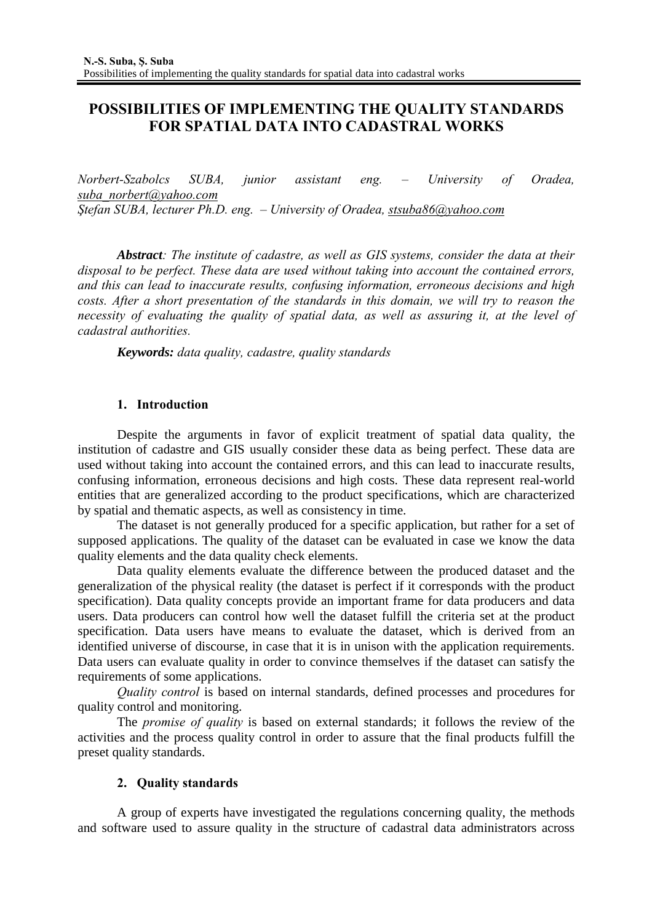# **POSSIBILITIES OF IMPLEMENTING THE QUALITY STANDARDS FOR SPATIAL DATA INTO CADASTRAL WORKS**

*Norbert-Szabolcs SUBA, junior assistant eng. – University of Oradea, suba\_norbert@yahoo.com Ştefan SUBA, lecturer Ph.D. eng. – University of Oradea, stsuba86@yahoo.com*

*Abstract: The institute of cadastre, as well as GIS systems, consider the data at their disposal to be perfect. These data are used without taking into account the contained errors, and this can lead to inaccurate results, confusing information, erroneous decisions and high costs. After a short presentation of the standards in this domain, we will try to reason the necessity of evaluating the quality of spatial data, as well as assuring it, at the level of cadastral authorities.*

*Keywords: data quality, cadastre, quality standards* 

# **1. Introduction**

Despite the arguments in favor of explicit treatment of spatial data quality, the institution of cadastre and GIS usually consider these data as being perfect. These data are used without taking into account the contained errors, and this can lead to inaccurate results, confusing information, erroneous decisions and high costs. These data represent real-world entities that are generalized according to the product specifications, which are characterized by spatial and thematic aspects, as well as consistency in time.

The dataset is not generally produced for a specific application, but rather for a set of supposed applications. The quality of the dataset can be evaluated in case we know the data quality elements and the data quality check elements.

Data quality elements evaluate the difference between the produced dataset and the generalization of the physical reality (the dataset is perfect if it corresponds with the product specification). Data quality concepts provide an important frame for data producers and data users. Data producers can control how well the dataset fulfill the criteria set at the product specification. Data users have means to evaluate the dataset, which is derived from an identified universe of discourse, in case that it is in unison with the application requirements. Data users can evaluate quality in order to convince themselves if the dataset can satisfy the requirements of some applications.

*Quality control* is based on internal standards, defined processes and procedures for quality control and monitoring.

The *promise of quality* is based on external standards; it follows the review of the activities and the process quality control in order to assure that the final products fulfill the preset quality standards.

# **2. Quality standards**

A group of experts have investigated the regulations concerning quality, the methods and software used to assure quality in the structure of cadastral data administrators across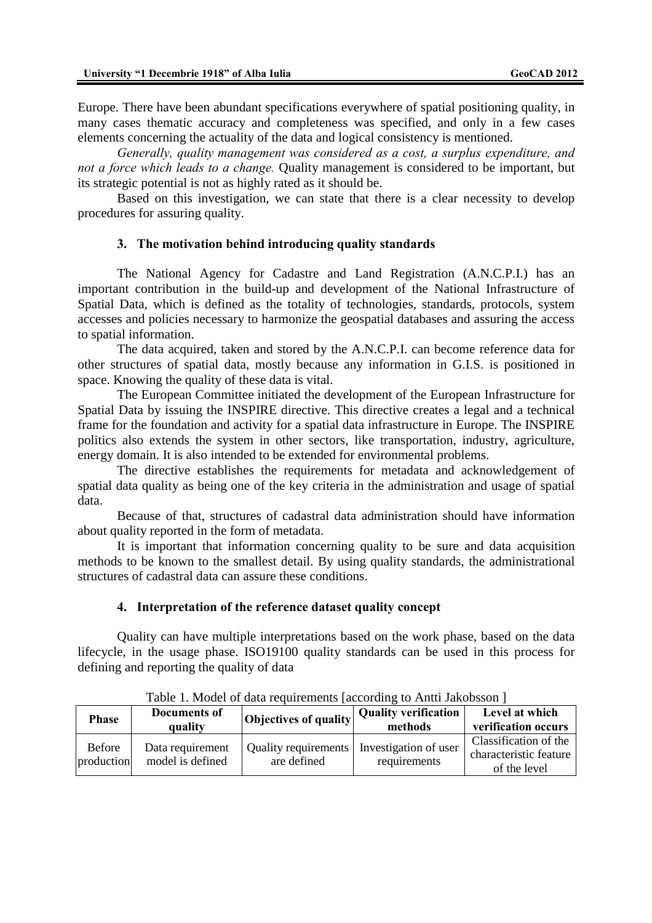Europe. There have been abundant specifications everywhere of spatial positioning quality, in many cases thematic accuracy and completeness was specified, and only in a few cases elements concerning the actuality of the data and logical consistency is mentioned.

*Generally, quality management was considered as a cost, a surplus expenditure, and not a force which leads to a change.* Quality management is considered to be important, but its strategic potential is not as highly rated as it should be.

Based on this investigation, we can state that there is a clear necessity to develop procedures for assuring quality.

#### **3. The motivation behind introducing quality standards**

The National Agency for Cadastre and Land Registration (A.N.C.P.I.) has an important contribution in the build-up and development of the National Infrastructure of Spatial Data, which is defined as the totality of technologies, standards, protocols, system accesses and policies necessary to harmonize the geospatial databases and assuring the access to spatial information.

The data acquired, taken and stored by the A.N.C.P.I. can become reference data for other structures of spatial data, mostly because any information in G.I.S. is positioned in space. Knowing the quality of these data is vital.

The European Committee initiated the development of the European Infrastructure for Spatial Data by issuing the INSPIRE directive. This directive creates a legal and a technical frame for the foundation and activity for a spatial data infrastructure in Europe. The INSPIRE politics also extends the system in other sectors, like transportation, industry, agriculture, energy domain. It is also intended to be extended for environmental problems.

The directive establishes the requirements for metadata and acknowledgement of spatial data quality as being one of the key criteria in the administration and usage of spatial data.

Because of that, structures of cadastral data administration should have information about quality reported in the form of metadata.

It is important that information concerning quality to be sure and data acquisition methods to be known to the smallest detail. By using quality standards, the administrational structures of cadastral data can assure these conditions.

#### **4. Interpretation of the reference dataset quality concept**

Quality can have multiple interpretations based on the work phase, based on the data lifecycle, in the usage phase. ISO19100 quality standards can be used in this process for defining and reporting the quality of data

| <b>Phase</b>                | Documents of<br>quality              | Objectives of quality                      | <b>Quality verification</b><br>methods | Level at which<br>verification occurs                           |
|-----------------------------|--------------------------------------|--------------------------------------------|----------------------------------------|-----------------------------------------------------------------|
| <b>Before</b><br>production | Data requirement<br>model is defined | <b>Quality requirements</b><br>are defined | Investigation of user<br>requirements  | Classification of the<br>characteristic feature<br>of the level |

Table 1. Model of data requirements [according to Antti Jakobsson ]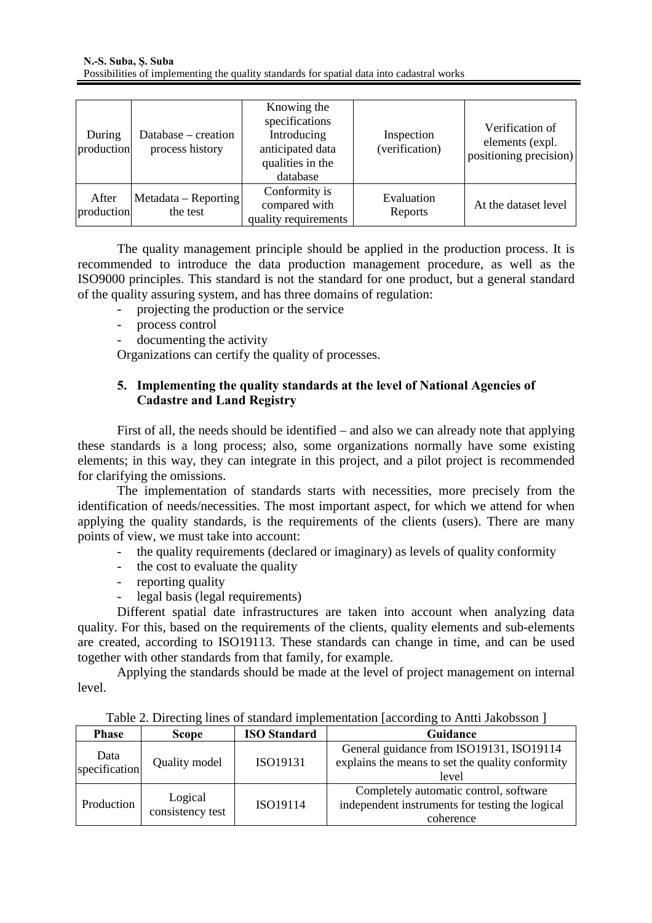| During<br>production | Database – creation<br>process history | Knowing the<br>specifications<br>Introducing<br>anticipated data<br>qualities in the<br>database | Inspection<br>(verification) | Verification of<br>elements (expl.<br>positioning precision) |
|----------------------|----------------------------------------|--------------------------------------------------------------------------------------------------|------------------------------|--------------------------------------------------------------|
| After<br>production  | $Metadata - Reporting$<br>the test     | Conformity is<br>compared with<br>quality requirements                                           | Evaluation<br>Reports        | At the dataset level                                         |

The quality management principle should be applied in the production process. It is recommended to introduce the data production management procedure, as well as the ISO9000 principles. This standard is not the standard for one product, but a general standard of the quality assuring system, and has three domains of regulation:

- projecting the production or the service
- process control
- documenting the activity

Organizations can certify the quality of processes.

# **5. Implementing the quality standards at the level of National Agencies of Cadastre and Land Registry**

First of all, the needs should be identified – and also we can already note that applying these standards is a long process; also, some organizations normally have some existing elements; in this way, they can integrate in this project, and a pilot project is recommended for clarifying the omissions.

The implementation of standards starts with necessities, more precisely from the identification of needs/necessities. The most important aspect, for which we attend for when applying the quality standards, is the requirements of the clients (users). There are many points of view, we must take into account:

- the quality requirements (declared or imaginary) as levels of quality conformity
- the cost to evaluate the quality
- reporting quality
- legal basis (legal requirements)

Different spatial date infrastructures are taken into account when analyzing data quality. For this, based on the requirements of the clients, quality elements and sub-elements are created, according to ISO19113. These standards can change in time, and can be used together with other standards from that family, for example.

Applying the standards should be made at the level of project management on internal level.

| <b>Phase</b>  | <b>Scope</b>                | <b>ISO</b> Standard | Guidance                                         |
|---------------|-----------------------------|---------------------|--------------------------------------------------|
| Data          |                             |                     | General guidance from ISO19131, ISO19114         |
| specification | Quality model               | ISO19131            | explains the means to set the quality conformity |
|               |                             |                     | level                                            |
| Production    | Logical<br>consistency test | ISO19114            | Completely automatic control, software           |
|               |                             |                     | independent instruments for testing the logical  |
|               |                             |                     | coherence                                        |

Table 2. Directing lines of standard implementation [according to Antti Jakobsson ]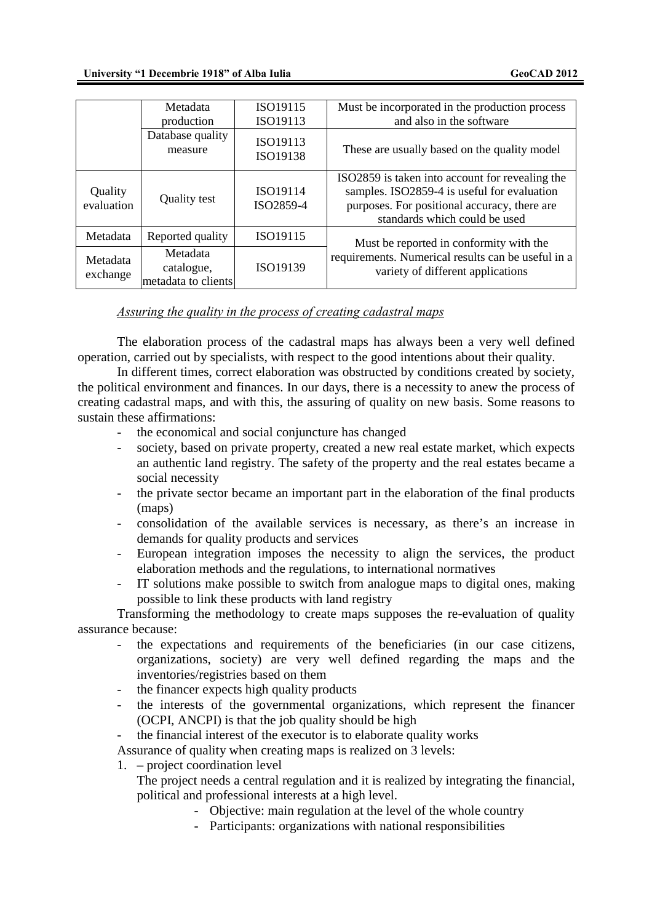|                       | Metadata<br>production                        | ISO19115<br>ISO19113  | Must be incorporated in the production process<br>and also in the software                                                                                                      |  |
|-----------------------|-----------------------------------------------|-----------------------|---------------------------------------------------------------------------------------------------------------------------------------------------------------------------------|--|
|                       | Database quality<br>measure                   | ISO19113<br>ISO19138  | These are usually based on the quality model                                                                                                                                    |  |
| Quality<br>evaluation | Quality test                                  | ISO19114<br>ISO2859-4 | ISO2859 is taken into account for revealing the<br>samples. ISO2859-4 is useful for evaluation<br>purposes. For positional accuracy, there are<br>standards which could be used |  |
| Metadata              | Reported quality                              | ISO19115              | Must be reported in conformity with the                                                                                                                                         |  |
| Metadata<br>exchange  | Metadata<br>catalogue,<br>metadata to clients | ISO19139              | requirements. Numerical results can be useful in a<br>variety of different applications                                                                                         |  |

#### *Assuring the quality in the process of creating cadastral maps*

The elaboration process of the cadastral maps has always been a very well defined operation, carried out by specialists, with respect to the good intentions about their quality.

In different times, correct elaboration was obstructed by conditions created by society, the political environment and finances. In our days, there is a necessity to anew the process of creating cadastral maps, and with this, the assuring of quality on new basis. Some reasons to sustain these affirmations:

- the economical and social conjuncture has changed
- society, based on private property, created a new real estate market, which expects an authentic land registry. The safety of the property and the real estates became a social necessity
- the private sector became an important part in the elaboration of the final products (maps)
- consolidation of the available services is necessary, as there's an increase in demands for quality products and services
- European integration imposes the necessity to align the services, the product elaboration methods and the regulations, to international normatives
- IT solutions make possible to switch from analogue maps to digital ones, making possible to link these products with land registry

Transforming the methodology to create maps supposes the re-evaluation of quality assurance because:

- the expectations and requirements of the beneficiaries (in our case citizens, organizations, society) are very well defined regarding the maps and the inventories/registries based on them
- the financer expects high quality products
- the interests of the governmental organizations, which represent the financer (OCPI, ANCPI) is that the job quality should be high
- the financial interest of the executor is to elaborate quality works

Assurance of quality when creating maps is realized on 3 levels:

1. – project coordination level

The project needs a central regulation and it is realized by integrating the financial, political and professional interests at a high level.

- Objective: main regulation at the level of the whole country
- Participants: organizations with national responsibilities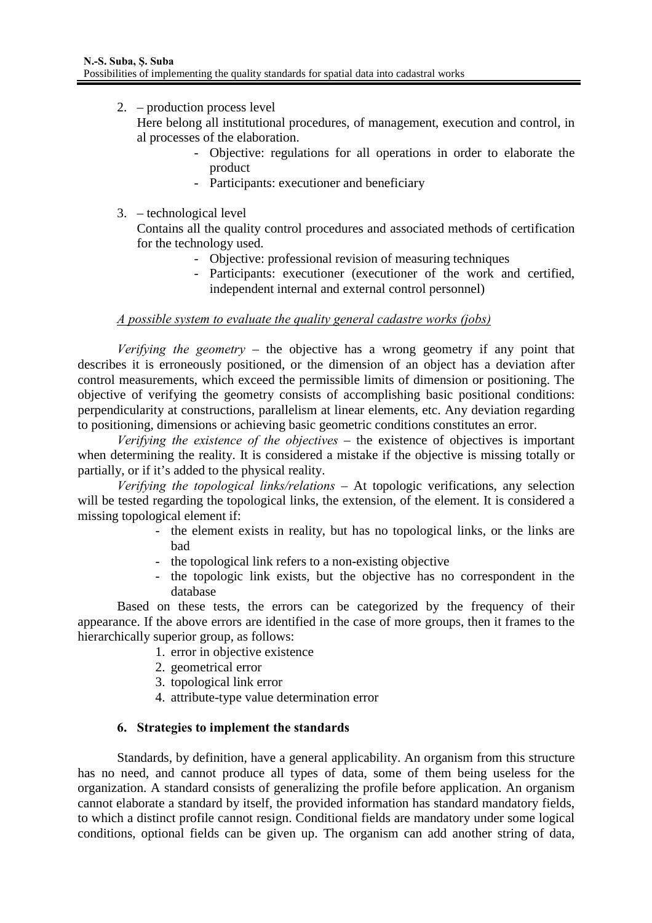2. – production process level

Here belong all institutional procedures, of management, execution and control, in al processes of the elaboration.

- Objective: regulations for all operations in order to elaborate the product
- Participants: executioner and beneficiary
- 3. technological level

Contains all the quality control procedures and associated methods of certification for the technology used.

- Objective: professional revision of measuring techniques
- Participants: executioner (executioner of the work and certified, independent internal and external control personnel)

#### *A possible system to evaluate the quality general cadastre works (jobs)*

*Verifying the geometry* – the objective has a wrong geometry if any point that describes it is erroneously positioned, or the dimension of an object has a deviation after control measurements, which exceed the permissible limits of dimension or positioning. The objective of verifying the geometry consists of accomplishing basic positional conditions: perpendicularity at constructions, parallelism at linear elements, etc. Any deviation regarding to positioning, dimensions or achieving basic geometric conditions constitutes an error.

*Verifying the existence of the objectives* – the existence of objectives is important when determining the reality. It is considered a mistake if the objective is missing totally or partially, or if it's added to the physical reality.

*Verifying the topological links/relations* – At topologic verifications, any selection will be tested regarding the topological links, the extension, of the element. It is considered a missing topological element if:

- the element exists in reality, but has no topological links, or the links are bad
- the topological link refers to a non-existing objective
- the topologic link exists, but the objective has no correspondent in the database

Based on these tests, the errors can be categorized by the frequency of their appearance. If the above errors are identified in the case of more groups, then it frames to the hierarchically superior group, as follows:

- 1. error in objective existence
- 2. geometrical error
- 3. topological link error
- 4. attribute-type value determination error

# **6. Strategies to implement the standards**

Standards, by definition, have a general applicability. An organism from this structure has no need, and cannot produce all types of data, some of them being useless for the organization. A standard consists of generalizing the profile before application. An organism cannot elaborate a standard by itself, the provided information has standard mandatory fields, to which a distinct profile cannot resign. Conditional fields are mandatory under some logical conditions, optional fields can be given up. The organism can add another string of data,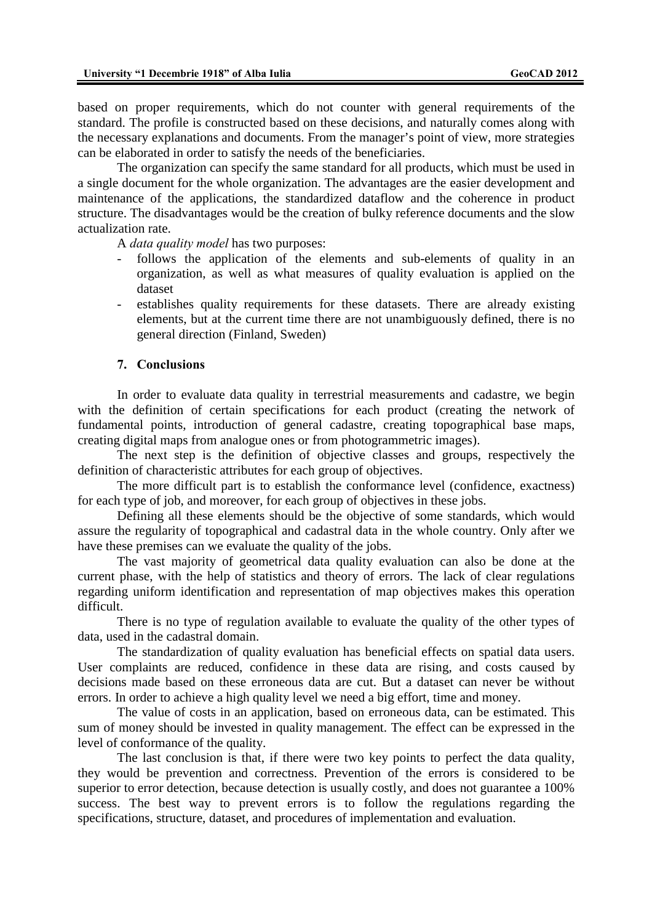based on proper requirements, which do not counter with general requirements of the standard. The profile is constructed based on these decisions, and naturally comes along with the necessary explanations and documents. From the manager's point of view, more strategies can be elaborated in order to satisfy the needs of the beneficiaries.

The organization can specify the same standard for all products, which must be used in a single document for the whole organization. The advantages are the easier development and maintenance of the applications, the standardized dataflow and the coherence in product structure. The disadvantages would be the creation of bulky reference documents and the slow actualization rate.

A *data quality model* has two purposes:

- follows the application of the elements and sub-elements of quality in an organization, as well as what measures of quality evaluation is applied on the dataset
- establishes quality requirements for these datasets. There are already existing elements, but at the current time there are not unambiguously defined, there is no general direction (Finland, Sweden)

#### **7. Conclusions**

In order to evaluate data quality in terrestrial measurements and cadastre, we begin with the definition of certain specifications for each product (creating the network of fundamental points, introduction of general cadastre, creating topographical base maps, creating digital maps from analogue ones or from photogrammetric images).

The next step is the definition of objective classes and groups, respectively the definition of characteristic attributes for each group of objectives.

The more difficult part is to establish the conformance level (confidence, exactness) for each type of job, and moreover, for each group of objectives in these jobs.

Defining all these elements should be the objective of some standards, which would assure the regularity of topographical and cadastral data in the whole country. Only after we have these premises can we evaluate the quality of the jobs.

The vast majority of geometrical data quality evaluation can also be done at the current phase, with the help of statistics and theory of errors. The lack of clear regulations regarding uniform identification and representation of map objectives makes this operation difficult.

There is no type of regulation available to evaluate the quality of the other types of data, used in the cadastral domain.

The standardization of quality evaluation has beneficial effects on spatial data users. User complaints are reduced, confidence in these data are rising, and costs caused by decisions made based on these erroneous data are cut. But a dataset can never be without errors. In order to achieve a high quality level we need a big effort, time and money.

The value of costs in an application, based on erroneous data, can be estimated. This sum of money should be invested in quality management. The effect can be expressed in the level of conformance of the quality.

The last conclusion is that, if there were two key points to perfect the data quality, they would be prevention and correctness. Prevention of the errors is considered to be superior to error detection, because detection is usually costly, and does not guarantee a 100% success. The best way to prevent errors is to follow the regulations regarding the specifications, structure, dataset, and procedures of implementation and evaluation.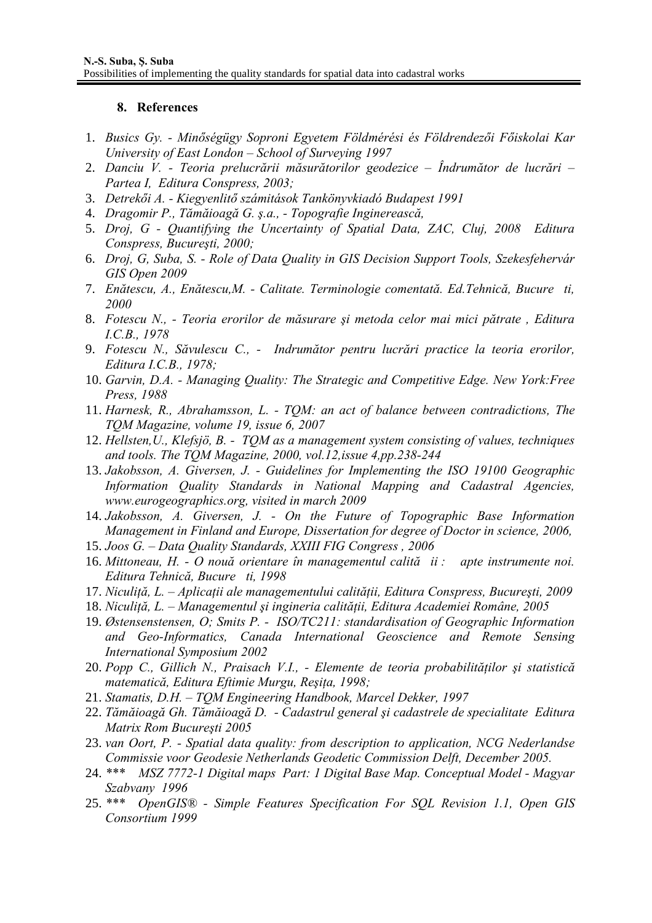#### **8. References**

- 1. *Busics Gy. Minőségügy Soproni Egyetem Földmérési és Földrendezői Főiskolai Kar University of East London – School of Surveying 1997*
- 2. *Danciu V. Teoria prelucrării măsurătorilor geodezice Îndrumător de lucrări Partea I, Editura Conspress, 2003;*
- 3. *Detrekői A. Kiegyenlitő számitások Tankönyvkiadó Budapest 1991*
- 4. *Dragomir P., Tămăioagă G. ş.a., Topografie Inginerească,*
- 5. *Droj, G Quantifying the Uncertainty of Spatial Data, ZAC, Cluj, 2008 Editura Conspress, Bucureşti, 2000;*
- 6. *Droj, G, Suba, S. Role of Data Quality in GIS Decision Support Tools, Szekesfehervár GIS Open 2009*
- 7. *Enătescu, A., Enătescu,M. Calitate. Terminologie comentată. Ed.Tehnică, Bucureti, 2000*
- 8. *Fotescu N., Teoria erorilor de măsurare şi metoda celor mai mici pătrate , Editura I.C.B., 1978*
- 9. *Fotescu N., Săvulescu C., Indrumător pentru lucrări practice la teoria erorilor, Editura I.C.B., 1978;*
- 10. *Garvin, D.A. Managing Quality: The Strategic and Competitive Edge. New York:Free Press, 1988*
- 11. *Harnesk, R., Abrahamsson, L. TQM: an act of balance between contradictions, The TQM Magazine, volume 19, issue 6, 2007*
- 12. *Hellsten,U., Klefsjö, B. TQM as a management system consisting of values, techniques and tools. The TQM Magazine, 2000, vol.12,issue 4,pp.238-244*
- 13. *Jakobsson, A. Giversen, J. Guidelines for Implementing the ISO 19100 Geographic Information Quality Standards in National Mapping and Cadastral Agencies, www.eurogeographics.org, visited in march 2009*
- 14. *Jakobsson, A. Giversen, J. On the Future of Topographic Base Information Management in Finland and Europe, Dissertation for degree of Doctor in science, 2006,*
- 15. *Joos G. Data Quality Standards, XXIII FIG Congress , 2006*
- 16. *Mittoneau, H. O nouă orientare în managementul calităii : apte instrumente noi.*   $E$ ditura Tehnică, Bucure ti, 1998
- 17. *Niculiţă, L. Aplicaţii ale managementului calităţii, Editura Conspress, Bucureşti, 2009*
- 18. *Niculiţă, L. Managementul şi ingineria calităţii, Editura Academiei Române, 2005*
- 19. *Østensenstensen, O; Smits P. ISO/TC211: standardisation of Geographic Information and Geo-Informatics, Canada International Geoscience and Remote Sensing International Symposium 2002*
- 20. *Popp C., Gillich N., Praisach V.I., Elemente de teoria probabilităţilor şi statistică matematică, Editura Eftimie Murgu, Reşiţa, 1998;*
- 21. *Stamatis, D.H. TQM Engineering Handbook, Marcel Dekker, 1997*
- 22. *Tămăioagă Gh. Tămăioagă D. Cadastrul general şi cadastrele de specialitate Editura Matrix Rom Bucureşti 2005*
- 23. *van Oort, P. Spatial data quality: from description to application, NCG Nederlandse Commissie voor Geodesie Netherlands Geodetic Commission Delft, December 2005.*
- 24. *\*\*\* MSZ 7772-1 Digital maps Part: 1 Digital Base Map. Conceptual Model Magyar Szabvany 1996*
- 25. *\*\*\* OpenGIS® Simple Features Specification For SQL Revision 1.1, Open GIS Consortium 1999*